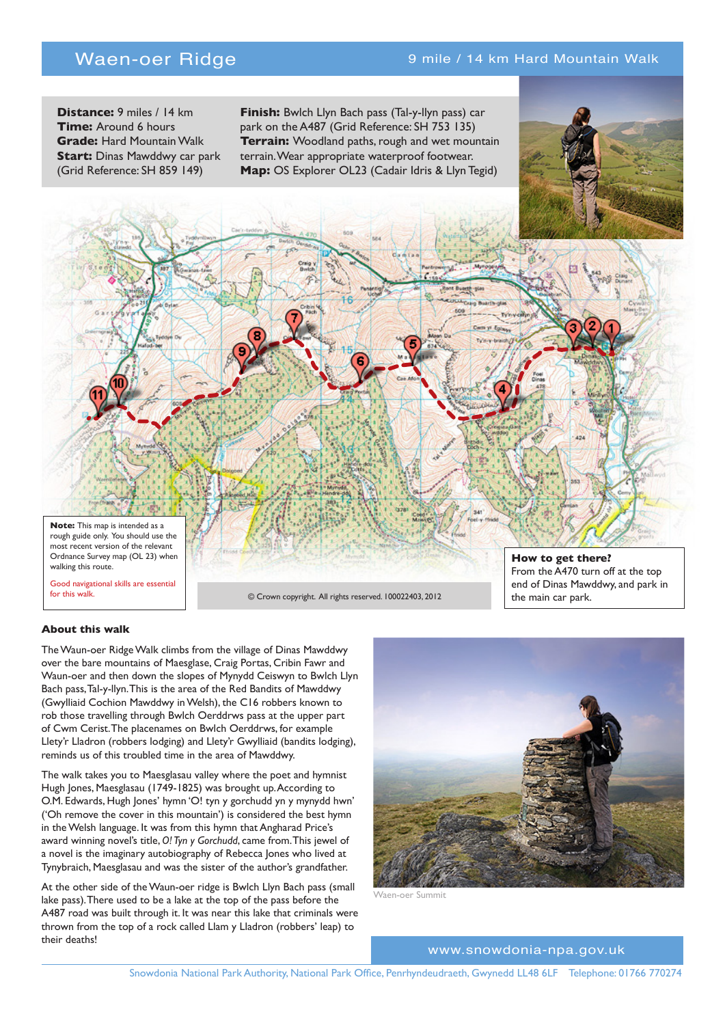# Waen-oer Ridge 9 mile / 14 km Hard Mountain Walk

**Distance:** 9 miles / 14 km **Time:** Around 6 hours **Grade:** Hard Mountain Walk **Start:** Dinas Mawddwy car park (Grid Reference: SH 859 149)

**Finish:** Bwlch Llyn Bach pass (Tal-y-llyn pass) car park on the A487 (Grid Reference: SH 753 135) **Terrain:** Woodland paths, rough and wet mountain terrain. Wear appropriate waterproof footwear. **Map:** OS Explorer OL23 (Cadair Idris & Llyn Tegid)





### **About this walk**

The Waun-oer Ridge Walk climbs from the village of Dinas Mawddwy over the bare mountains of Maesglase, Craig Portas, Cribin Fawr and Waun-oer and then down the slopes of Mynydd Ceiswyn to Bwlch Llyn Bach pass, Tal-y-llyn. This is the area of the Red Bandits of Mawddwy (Gwylliaid Cochion Mawddwy in Welsh), the C16 robbers known to rob those travelling through Bwlch Oerddrws pass at the upper part of Cwm Cerist. The placenames on Bwlch Oerddrws, for example Llety'r Lladron (robbers lodging) and Llety'r Gwylliaid (bandits lodging), reminds us of this troubled time in the area of Mawddwy.

The walk takes you to Maesglasau valley where the poet and hymnist Hugh Jones, Maesglasau (1749-1825) was brought up. According to O.M. Edwards, Hugh Jones' hymn 'O! tyn y gorchudd yn y mynydd hwn' ('Oh remove the cover in this mountain') is considered the best hymn in the Welsh language. It was from this hymn that Angharad Price's award winning novel's title, *O! Tyn y Gorchudd*, came from. This jewel of a novel is the imaginary autobiography of Rebecca Jones who lived at Tynybraich, Maesglasau and was the sister of the author's grandfather.

At the other side of the Waun-oer ridge is Bwlch Llyn Bach pass (small lake pass). There used to be a lake at the top of the pass before the A487 road was built through it. It was near this lake that criminals were thrown from the top of a rock called Llam y Lladron (robbers' leap) to their deaths!



Waen-oer Summit